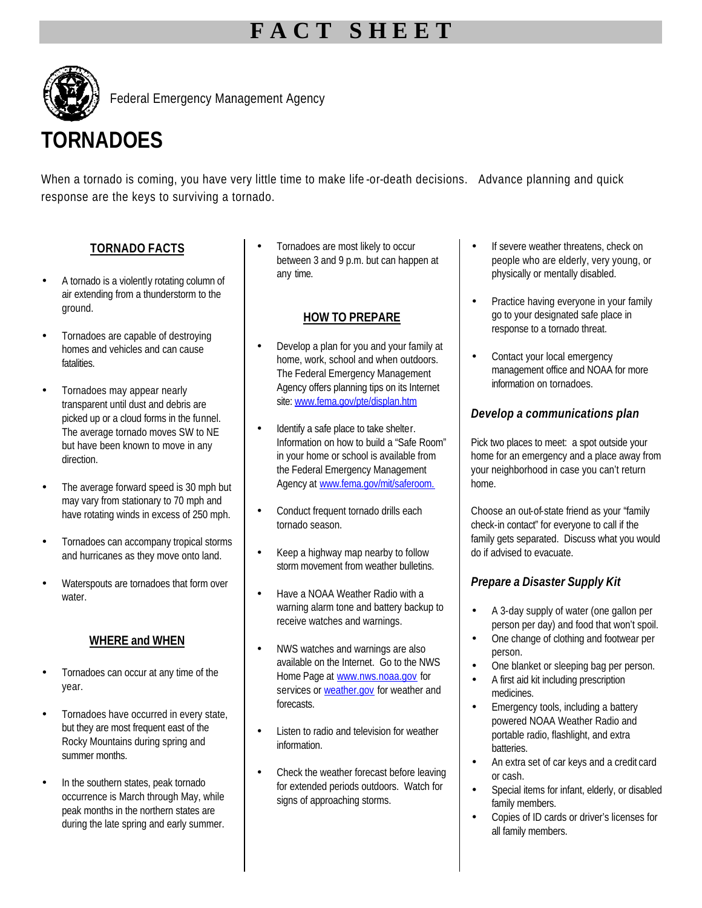## **F A C T S H E E T**



Federal Emergency Management Agency

# **TORNADOES**

When a tornado is coming, you have very little time to make life -or-death decisions. Advance planning and quick response are the keys to surviving a tornado.

## **TORNADO FACTS**

- A tornado is a violently rotating column of air extending from a thunderstorm to the ground.
- Tornadoes are capable of destroying homes and vehicles and can cause fatalities.
- Tornadoes may appear nearly transparent until dust and debris are picked up or a cloud forms in the funnel. The average tornado moves SW to NE but have been known to move in any direction.
- The average forward speed is 30 mph but may vary from stationary to 70 mph and have rotating winds in excess of 250 mph.
- Tornadoes can accompany tropical storms and hurricanes as they move onto land.
- Waterspouts are tornadoes that form over water.

#### **WHERE and WHEN**

- Tornadoes can occur at any time of the year.
- Tornadoes have occurred in every state, but they are most frequent east of the Rocky Mountains during spring and summer months.
- In the southern states, peak tornado occurrence is March through May, while peak months in the northern states are during the late spring and early summer.

• Tornadoes are most likely to occur between 3 and 9 p.m. but can happen at any time.

#### **HOW TO PREPARE**

- Develop a plan for you and your family at home, work, school and when outdoors. The Federal Emergency Management Agency offers planning tips on its Internet site: www.fema.gov/pte/displan.htm
- Identify a safe place to take shelter. Information on how to build a "Safe Room" in your home or school is available from the Federal Emergency Management Agency at www.fema.gov/mit/saferoom.
- Conduct frequent tornado drills each tornado season.
- Keep a highway map nearby to follow storm movement from weather bulletins.
- Have a NOAA Weather Radio with a warning alarm tone and battery backup to receive watches and warnings.
- NWS watches and warnings are also available on the Internet. Go to the NWS Home Page at www.nws.noaa.gov for services or weather.gov for weather and forecasts.
- Listen to radio and television for weather information.
- Check the weather forecast before leaving for extended periods outdoors. Watch for signs of approaching storms.
- If severe weather threatens, check on people who are elderly, very young, or physically or mentally disabled.
- Practice having everyone in your family go to your designated safe place in response to a tornado threat.
- Contact your local emergency management office and NOAA for more information on tornadoes.

### *Develop a communications plan*

Pick two places to meet: a spot outside your home for an emergency and a place away from your neighborhood in case you can't return home.

Choose an out-of-state friend as your "family check-in contact" for everyone to call if the family gets separated. Discuss what you would do if advised to evacuate.

## *Prepare a Disaster Supply Kit*

- A 3-day supply of water (one gallon per person per day) and food that won't spoil.
- One change of clothing and footwear per person.
- One blanket or sleeping bag per person.
- A first aid kit including prescription medicines.
- Emergency tools, including a battery powered NOAA Weather Radio and portable radio, flashlight, and extra batteries.
- An extra set of car keys and a credit card or cash.
- Special items for infant, elderly, or disabled family members.
- Copies of ID cards or driver's licenses for all family members.